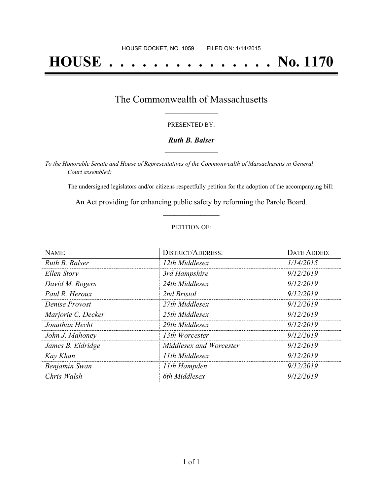# **HOUSE . . . . . . . . . . . . . . . No. 1170**

### The Commonwealth of Massachusetts **\_\_\_\_\_\_\_\_\_\_\_\_\_\_\_\_\_**

#### PRESENTED BY:

#### *Ruth B. Balser* **\_\_\_\_\_\_\_\_\_\_\_\_\_\_\_\_\_**

*To the Honorable Senate and House of Representatives of the Commonwealth of Massachusetts in General Court assembled:*

The undersigned legislators and/or citizens respectfully petition for the adoption of the accompanying bill:

An Act providing for enhancing public safety by reforming the Parole Board. **\_\_\_\_\_\_\_\_\_\_\_\_\_\_\_**

#### PETITION OF:

| NAME:              | <b>DISTRICT/ADDRESS:</b> | <b>DATE ADDED:</b> |
|--------------------|--------------------------|--------------------|
| Ruth B. Balser     | 12th Middlesex           | 1/14/2015          |
| Ellen Story        | 3rd Hampshire            | 9/12/2019          |
| David M. Rogers    | 24th Middlesex           | 9/12/2019          |
| Paul R. Heroux     | 2nd Bristol              | 9/12/2019          |
| Denise Provost     | 27th Middlesex           | 9/12/2019          |
| Marjorie C. Decker | 25th Middlesex           | 9/12/2019          |
| Jonathan Hecht     | 29th Middlesex           | 9/12/2019          |
| John J. Mahoney    | 13th Worcester           | 9/12/2019          |
| James B. Eldridge  | Middlesex and Worcester  | 9/12/2019          |
| Kay Khan           | 11th Middlesex           | 9/12/2019          |
| Benjamin Swan      | 11th Hampden             | 9/12/2019          |
| Chris Walsh        | 6th Middlesex            | 9/12/2019          |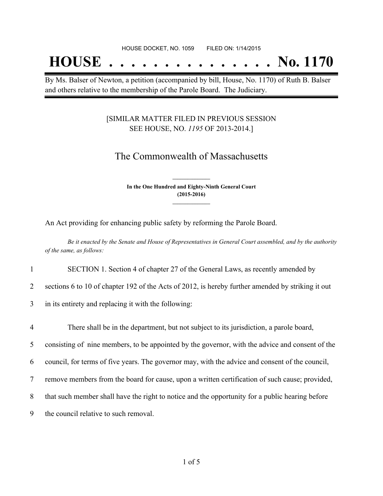## **HOUSE . . . . . . . . . . . . . . . No. 1170**

By Ms. Balser of Newton, a petition (accompanied by bill, House, No. 1170) of Ruth B. Balser and others relative to the membership of the Parole Board. The Judiciary.

#### [SIMILAR MATTER FILED IN PREVIOUS SESSION SEE HOUSE, NO. *1195* OF 2013-2014.]

## The Commonwealth of Massachusetts

**In the One Hundred and Eighty-Ninth General Court (2015-2016) \_\_\_\_\_\_\_\_\_\_\_\_\_\_\_**

**\_\_\_\_\_\_\_\_\_\_\_\_\_\_\_**

An Act providing for enhancing public safety by reforming the Parole Board.

Be it enacted by the Senate and House of Representatives in General Court assembled, and by the authority *of the same, as follows:*

1 SECTION 1. Section 4 of chapter 27 of the General Laws, as recently amended by

2 sections 6 to 10 of chapter 192 of the Acts of 2012, is hereby further amended by striking it out

3 in its entirety and replacing it with the following:

 There shall be in the department, but not subject to its jurisdiction, a parole board, consisting of nine members, to be appointed by the governor, with the advice and consent of the council, for terms of five years. The governor may, with the advice and consent of the council, remove members from the board for cause, upon a written certification of such cause; provided, that such member shall have the right to notice and the opportunity for a public hearing before the council relative to such removal.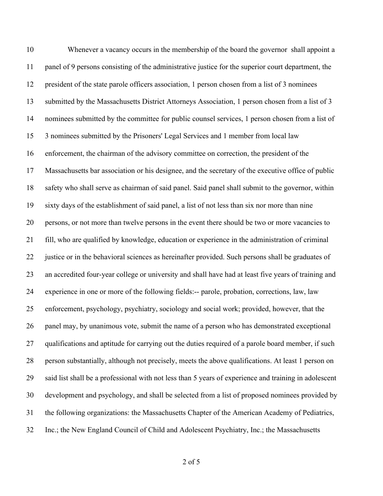Whenever a vacancy occurs in the membership of the board the governor shall appoint a panel of 9 persons consisting of the administrative justice for the superior court department, the president of the state parole officers association, 1 person chosen from a list of 3 nominees submitted by the Massachusetts District Attorneys Association, 1 person chosen from a list of 3 nominees submitted by the committee for public counsel services, 1 person chosen from a list of 3 nominees submitted by the Prisoners' Legal Services and 1 member from local law enforcement, the chairman of the advisory committee on correction, the president of the Massachusetts bar association or his designee, and the secretary of the executive office of public safety who shall serve as chairman of said panel. Said panel shall submit to the governor, within sixty days of the establishment of said panel, a list of not less than six nor more than nine persons, or not more than twelve persons in the event there should be two or more vacancies to fill, who are qualified by knowledge, education or experience in the administration of criminal justice or in the behavioral sciences as hereinafter provided. Such persons shall be graduates of an accredited four-year college or university and shall have had at least five years of training and experience in one or more of the following fields:-- parole, probation, corrections, law, law enforcement, psychology, psychiatry, sociology and social work; provided, however, that the panel may, by unanimous vote, submit the name of a person who has demonstrated exceptional qualifications and aptitude for carrying out the duties required of a parole board member, if such person substantially, although not precisely, meets the above qualifications. At least 1 person on said list shall be a professional with not less than 5 years of experience and training in adolescent development and psychology, and shall be selected from a list of proposed nominees provided by the following organizations: the Massachusetts Chapter of the American Academy of Pediatrics, Inc.; the New England Council of Child and Adolescent Psychiatry, Inc.; the Massachusetts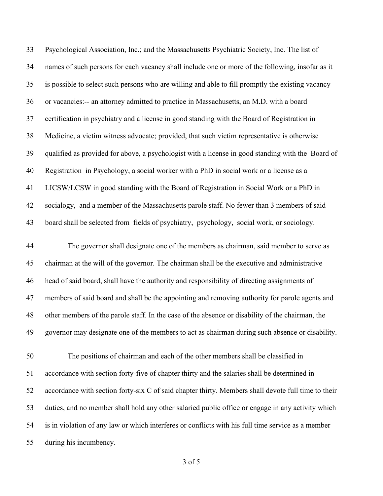Psychological Association, Inc.; and the Massachusetts Psychiatric Society, Inc. The list of names of such persons for each vacancy shall include one or more of the following, insofar as it is possible to select such persons who are willing and able to fill promptly the existing vacancy or vacancies:-- an attorney admitted to practice in Massachusetts, an M.D. with a board certification in psychiatry and a license in good standing with the Board of Registration in Medicine, a victim witness advocate; provided, that such victim representative is otherwise qualified as provided for above, a psychologist with a license in good standing with the Board of Registration in Psychology, a social worker with a PhD in social work or a license as a LICSW/LCSW in good standing with the Board of Registration in Social Work or a PhD in 42 socialogy, and a member of the Massachusetts parole staff. No fewer than 3 members of said board shall be selected from fields of psychiatry, psychology, social work, or sociology.

 The governor shall designate one of the members as chairman, said member to serve as chairman at the will of the governor. The chairman shall be the executive and administrative head of said board, shall have the authority and responsibility of directing assignments of members of said board and shall be the appointing and removing authority for parole agents and other members of the parole staff. In the case of the absence or disability of the chairman, the governor may designate one of the members to act as chairman during such absence or disability.

 The positions of chairman and each of the other members shall be classified in accordance with section forty-five of chapter thirty and the salaries shall be determined in accordance with section forty-six C of said chapter thirty. Members shall devote full time to their duties, and no member shall hold any other salaried public office or engage in any activity which is in violation of any law or which interferes or conflicts with his full time service as a member during his incumbency.

of 5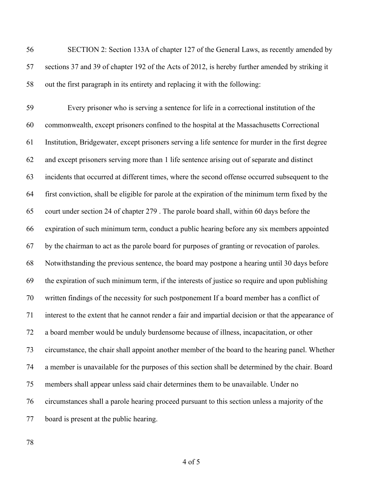SECTION 2: Section 133A of chapter 127 of the General Laws, as recently amended by sections 37 and 39 of chapter 192 of the Acts of 2012, is hereby further amended by striking it out the first paragraph in its entirety and replacing it with the following:

 Every prisoner who is serving a sentence for life in a correctional institution of the commonwealth, except prisoners confined to the hospital at the Massachusetts Correctional Institution, Bridgewater, except prisoners serving a life sentence for murder in the first degree and except prisoners serving more than 1 life sentence arising out of separate and distinct incidents that occurred at different times, where the second offense occurred subsequent to the first conviction, shall be eligible for parole at the expiration of the minimum term fixed by the court under section 24 of chapter 279 . The parole board shall, within 60 days before the expiration of such minimum term, conduct a public hearing before any six members appointed by the chairman to act as the parole board for purposes of granting or revocation of paroles. Notwithstanding the previous sentence, the board may postpone a hearing until 30 days before the expiration of such minimum term, if the interests of justice so require and upon publishing written findings of the necessity for such postponement If a board member has a conflict of interest to the extent that he cannot render a fair and impartial decision or that the appearance of a board member would be unduly burdensome because of illness, incapacitation, or other circumstance, the chair shall appoint another member of the board to the hearing panel. Whether a member is unavailable for the purposes of this section shall be determined by the chair. Board members shall appear unless said chair determines them to be unavailable. Under no circumstances shall a parole hearing proceed pursuant to this section unless a majority of the board is present at the public hearing.